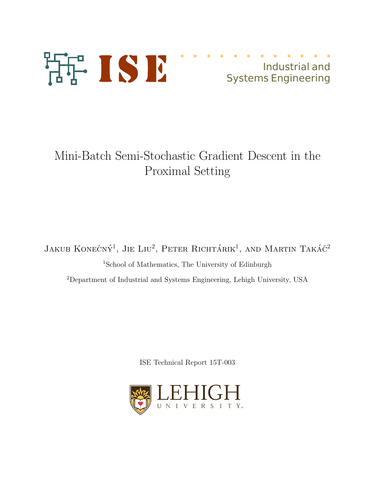

# Industrial and Systems Engineering

# Mini-Batch Semi-Stochastic Gradient Descent in the Proximal Setting

Jakub Konečný<sup>1</sup>, Jie Liu<sup>2</sup>, Peter Richtárik<sup>1</sup>, and Martin Takáč<sup>2</sup> <sup>1</sup>School of Mathematics, The University of Edinburgh <sup>2</sup>Department of Industrial and Systems Engineering, Lehigh University, USA

ISE Technical Report 15T-003

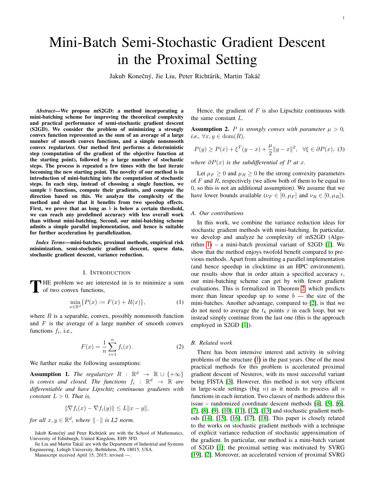# Mini-Batch Semi-Stochastic Gradient Descent in the Proximal Setting

Jakub Konečný, Jie Liu, Peter Richtárik, Martin Takáč

*Abstract*—We propose mS2GD: a method incorporating a mini-batching scheme for improving the theoretical complexity and practical performance of semi-stochastic gradient descent (S2GD). We consider the problem of minimizing a strongly convex function represented as the sum of an average of a large number of smooth convex functions, and a simple nonsmooth convex regularizer. Our method first performs a deterministic step (computation of the gradient of the objective function at the starting point), followed by a large number of stochastic steps. The process is repeated a few times with the last iterate becoming the new starting point. The novelty of our method is in introduction of mini-batching into the computation of stochastic steps. In each step, instead of choosing a single function, we sample b functions, compute their gradients, and compute the direction based on this. We analyze the complexity of the method and show that it benefits from two speedup effects. First, we prove that as long as  $b$  is below a certain threshold, we can reach any predefined accuracy with less overall work than without mini-batching. Second, our mini-batching scheme admits a simple parallel implementation, and hence is suitable for further acceleration by parallelization.

*Index Terms*—mini-batches, proximal methods, empirical risk minimization, semi-stochastic gradient descent, sparse data, stochastic gradient descent, variance reduction.

#### I. INTRODUCTION

THE problem we are interested in is to minimize a sum of two convex functions, of two convex functions,

$$
\min_{x \in \mathbb{R}^d} \{ P(x) := F(x) + R(x) \},\tag{1}
$$

where  $R$  is a separable, convex, possibly nonsmooth function and  $F$  is the average of a large number of smooth convex functions  $f_i$ , i.e.,

$$
F(x) = \frac{1}{n} \sum_{i=1}^{n} f_i(x).
$$
 (2)

We further make the following assumptions:

**Assumption 1.** The regularizer  $R$  :  $\mathbb{R}^d$   $\rightarrow$   $\mathbb{R} \cup \{+\infty\}$ is convex and closed. The functions  $f_i$  :  $\mathbb{R}^d$   $\rightarrow$   $\mathbb{R}$  are *differentiable and have Lipschitz continuous gradients with constant*  $L > 0$ *. That is,* 

$$
\|\nabla f_i(x) - \nabla f_i(y)\| \le L\|x - y\|,
$$

*for all*  $x, y \in \mathbb{R}^d$ , where  $\| \cdot \|$  *is L2 norm.* 

Jie Liu and Martin Takáč are with the Department of Industrial and Systems Engineering, Lehigh University, Bethlehem, PA 18015, USA.

Manuscript received April 15, 2015; revised —.

Hence, the gradient of  $F$  is also Lipschitz continuous with the same constant L.

**Assumption 2.** P is strongly convex with parameter  $\mu > 0$ ,  $i.e., \forall x, y \in \text{dom}(R)$ ,

$$
P(y) \ge P(x) + \xi^{T} (y - x) + \frac{\mu}{2} \|y - x\|^{2}, \ \ \forall \xi \in \partial P(x), \ (3)
$$

*where*  $\partial P(x)$  *is the subdifferential of* P *at* x.

Let  $\mu_F \geq 0$  and  $\mu_R \geq 0$  be the strong convexity parameters of  $F$  and  $R$ , respectively (we allow both of them to be equal to 0, so this is not an additional assumption). We assume that we have lower bounds available ( $\nu_F \in [0, \mu_F]$  and  $\nu_R \in [0, \mu_R]$ ).

#### *A. Our contributions*

In this work, we combine the variance reduction ideas for stochastic gradient methods with mini-batching. In particular, we develop and analyze he complexity of mS2GD (Algorithm  $1$ ) – a mini-batch proximal variant of S2GD [1]. We show that the method enjoys twofold benefit compared to previous methods. Apart from admitting a parallel implementation (and hence speedup in clocktime in an HPC environment), our results show that in order attain a specified accuracy  $\epsilon$ , our mini-batching scheme can get by with fewer gradient evaluations. This is formalized in Theorem 2, which predicts more than linear speedup up to some  $b$  — the size of the mini-batches. Another advantage, compared to [2], is that we do not need to average the  $t_k$  points x in each loop, but we instead simply continue from the last one (this is the approach employed in S2GD [1]).

#### *B. Related work*

There has been intensive interest and activity in solving problems of the structure (1) in the past years. One of the most practical methods for this problem is accelerated proximal gradient descent of Nesterov, with its most successful variant being FISTA [3]. However, this method is not very efficient in large-scale settings (big  $n$ ) as it needs to process all  $n$ functions in each iteration. Two classes of methods address this issue – randomized coordinate descent methods [4], [5], [6], [7], [8], [9], [10], [11], [12], [13] and stochastic gradient methods [14], [15], [16], [17], [18]. This paper is closely related to the works on stochastic gradient methods with a technique of explicit variance reduction of stochastic approximation of the gradient. In particular, our method is a mini-batch variant of S2GD [1]; the proximal setting was motivated by SVRG [19], [2]. Moreover, an accelerated version of proximal SVRG

Jakub Konečný and Peter Richtárik are with the School of Mathematics, University of Edinburgh, United Kingdom, EH9 3FD.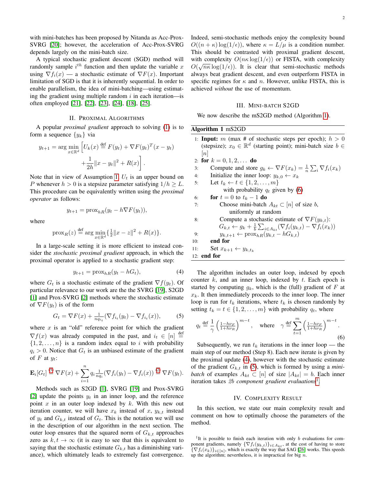with mini-batches has been proposed by Nitanda as Acc-Prox-SVRG [20]; however, the acceleration of Acc-Prox-SVRG depends largely on the mini-batch size.

A typical stochastic gradient descent (SGD) method will randomly sample  $i^{th}$  function and then update the variable x using  $\nabla f_i(x)$  — a stochastic estimate of  $\nabla F(x)$ . Important limitation of SGD is that it is inherently sequential. In order to enable parallelism, the idea of mini-batching—using estimating the gradient using multiple random  $i$  in each iteration—is often employed [21], [22], [23], [24], [18], [25].

### II. PROXIMAL ALGORITHMS

A popular *proximal gradient* approach to solving (1) is to form a sequence  $\{y_k\}$  via

$$
y_{t+1} = \arg \min_{x \in \mathbb{R}^d} \left[ U_k(x) \stackrel{\text{def}}{=} F(y_t) + \nabla F(y_t)^T (x - y_t) + \frac{1}{2h} ||x - y_t||^2 + R(x) \right].
$$

Note that in view of Assumption 1,  $U_t$  is an upper bound on P whenever  $h > 0$  is a stepsize parameter satisfying  $1/h > L$ . This procedure can be equivalently written using the *proximal operator* as follows:

where

$$
y_{t+1} = \text{prox}_{hR}(y_t - h\nabla F(y_t)),
$$

$$
\text{prox}_{R}(z) \stackrel{\text{def}}{=} \arg \min_{x \in \mathbb{R}^d} \{ \frac{1}{2} ||x - z||^2 + R(x) \}.
$$

In a large-scale setting it is more efficient to instead consider the *stochastic proximal gradient* approach, in which the proximal operator is applied to a stochastic gradient step:

$$
y_{t+1} = \text{prox}_{hR}(y_t - hG_t),\tag{4}
$$

where  $G_t$  is a stochastic estimate of the gradient  $\nabla f(y_t)$ . Of particular relevance to our work are the the SVRG [19], S2GD [1] and Prox-SVRG [2] methods where the stochastic estimate of  $\nabla F(y_t)$  is of the form

$$
G_t = \nabla F(x) + \frac{1}{n q_{i_t}} (\nabla f_{i_t}(y_t) - \nabla f_{i_t}(x)),
$$
 (5)

where  $x$  is an "old" reference point for which the gradient  $\nabla f(x)$  was already computed in the past, and  $i_t \in [n] \stackrel{\text{def}}{=}$  $\{1, 2, \ldots, n\}$  is a random index equal to i with probability  $q_i > 0$ . Notice that  $G_t$  is an unbiased estimate of the gradient of  $F$  at  $y_t$ :

$$
\mathbf{E}_{i}[G_{t}] \stackrel{(5)}{=} \nabla F(x) + \sum_{i=1}^{n} q_{i} \frac{1}{n q_{i}} (\nabla f_{i}(y_{t}) - \nabla f_{i}(x)) \stackrel{(2)}{=} \nabla F(y_{t}).
$$

Methods such as S2GD [1], SVRG [19] and Prox-SVRG [2] update the points  $y_t$  in an inner loop, and the reference point x in an outer loop indexed by  $k$ . With this new out iteration counter, we will have  $x_k$  instead of x,  $y_{k,t}$  instead of  $y_t$  and  $G_{k,t}$  instead of  $G_t$ . This is the notation we will use in the description of our algorithm in the next section. The outer loop ensures that the squared norm of  $G_{k,t}$  approaches zero as  $k, t \rightarrow \infty$  (it is easy to see that this is equivalent to saying that the stochastic estimate  $G_{k,t}$  has a diminishing variance), which ultimately leads to extremely fast convergence. Indeed, semi-stochastic methods enjoy the complexity bound  $O((n + \kappa) \log(1/\epsilon))$ , where  $\kappa = L/\mu$  is a condition number. This should be contrasted with proximal gradient descent, with complexity  $O(n\kappa \log(1/\epsilon))$  or FISTA, with complexity  $O(\sqrt{n\kappa} \log(1/\epsilon))$ . It is clear that semi-stochastic methods always beat gradient descent, and even outperform FISTA in specific regimes for  $\kappa$  and n. However, unlike FISTA, this is achieved *without* the use of momentum.

#### III. MINI-BATCH S2GD

We now describe the mS2GD method (Algorithm 1).

#### Algorithm 1 mS2GD

| 1: <b>Input:</b> m (max # of stochastic steps per epoch); $h > 0$                                  |
|----------------------------------------------------------------------------------------------------|
| (stepsize); $x_0 \in \mathbb{R}^d$ (starting point); mini-batch size $b \in$                       |
| n                                                                                                  |
| 2: for $k = 0, 1, 2, \ldots$ do                                                                    |
| Compute and store $g_k \leftarrow \nabla F(x_k) = \frac{1}{n} \sum_i \nabla f_i(x_k)$<br>3:        |
| Initialize the inner loop: $y_{k,0} \leftarrow x_k$<br>4:                                          |
| Let $t_k \leftarrow t \in \{1, 2, , m\}$<br>5:                                                     |
| with probability $q_t$ given by (6)                                                                |
| for $t=0$ to $t_k-1$ do<br>6:                                                                      |
| Choose mini-batch $A_{kt} \subset [n]$ of size b,<br>7:                                            |
| uniformly at random                                                                                |
| Compute a stochastic estimate of $\nabla F(y_{k,t})$ :<br>8:                                       |
| $G_{k,t} \leftarrow g_k + \frac{1}{b} \sum_{i \in A_{kt}} (\nabla f_i(y_{k,t}) - \nabla f_i(x_k))$ |
| $y_{k,t+1} \leftarrow \text{prox}_{hR}(y_{k,t} - hG_{k,t})$<br>9:                                  |
| end for<br>10:                                                                                     |
| 11:<br>Set $x_{k+1} \leftarrow y_{k,t_k}$                                                          |
| 12: end for                                                                                        |

The algorithm includes an outer loop, indexed by epoch counter  $k$ , and an inner loop, indexed by  $t$ . Each epoch is started by computing  $g_k$ , which is the (full) gradient of F at  $x_k$ . It then immediately proceeds to the inner loop. The inner loop is run for  $t_k$  iterations, where  $t_k$  is chosen randomly by setting  $t_k = t \in \{1, 2, \ldots, m\}$  with probability  $q_t$ , where

$$
q_t \stackrel{\text{def}}{=} \frac{1}{\gamma} \left( \frac{1 - h\nu_F}{1 + h\nu_R} \right)^{m-t}, \quad \text{where} \quad \gamma \stackrel{\text{def}}{=} \sum_{t=1}^m \left( \frac{1 - h\nu_F}{1 + h\nu_R} \right)^{m-t}.
$$
\n
$$
(6)
$$

Subsequently, we run  $t_k$  iterations in the inner loop — the main step of our method (Step 8). Each new iterate is given by the proximal update (4), however with the stochastic estimate of the gradient  $G_{k,t}$  in (5), which is formed by using a *minibatch* of examples  $A_{kt} \subset [n]$  of size  $|A_{kt}| = b$ . Each inner iteration takes 2b *component gradient evaluations*1 .

#### IV. COMPLEXITY RESULT

In this section, we state our main complexity result and comment on how to optimally choose the parameters of the method.

<sup>&</sup>lt;sup>1</sup>It is possible to finish each iteration with only  $b$  evaluations for component gradients, namely  $\{\nabla f_i(y_{k,t})\}_{i\in A_{kt}}$ , at the cost of having to store  $\{\nabla f_i(x_k)\}_{i\in[n]}$ , which is exactly the way that SAG [26] works. This speeds up the algorithm; nevertheless, it is impractical for big  $n$ .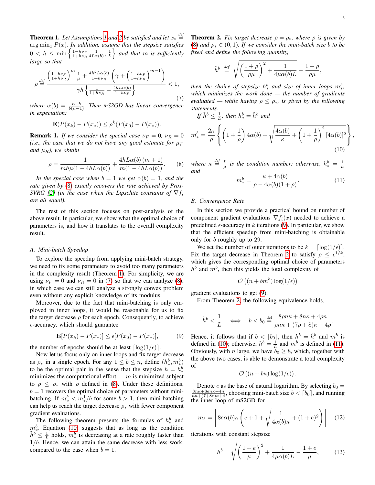**Theorem 1.** Let Assumptions 1 and 2 be satisfied and let  $x_* \stackrel{\text{def}}{=}$ arg  $\min_x P(x)$ *. In addition, assume that the stepsize satisfies*  $0 < h \le \min \left\{ \frac{1 - h\nu_{F}}{1 + h\nu_{R}} \frac{1}{4L\alpha(b)}, \frac{1}{L} \right\}$  and that m is sufficiently *large so that*

$$
\rho \stackrel{\text{def}}{=} \frac{\left(\frac{1-h\nu_F}{1+h\nu_R}\right)^m \frac{1}{\mu} + \frac{4h^2 L\alpha(b)}{1+h\nu_R} \left(\gamma + \left(\frac{1-h\nu_F}{1+h\nu_R}\right)^{m-1}\right)}{\gamma h \left\{\frac{1}{1+h\nu_R} - \frac{4hL\alpha(b)}{1-h\nu_F}\right\}} < 1,\tag{7}
$$

*where*  $\alpha(b) = \frac{n-b}{b(n-1)}$ *. Then mS2GD has linear convergence in expectation:*

$$
\mathbf{E}(P(x_k) - P(x_*)) \le \rho^k(P(x_0) - P(x_*)).
$$

**Remark 1.** *If we consider the special case*  $\nu_F = 0$ ,  $\nu_B = 0$ *(i.e., the case that we do not have any good estimate for*  $\mu_F$ *and*  $\mu_B$ *), we obtain* 

$$
\rho = \frac{1}{mh\mu(1 - 4hL\alpha(b))} + \frac{4hL\alpha(b)(m+1)}{m(1 - 4hL\alpha(b))}.
$$
 (8)

*In the special case when*  $b = 1$  *we get*  $\alpha(b) = 1$ *, and the rate given by* (8) *exactly recovers the rate achieved by Prox-SVRG* [2] (in the case when the Lipschitz constants of  $\nabla f_i$ *are all equal).*

The rest of this section focuses on post-analysis of the above result. In particular, we show what the optimal choice of parameters is, and how it translates to the overall complexity result.

#### *A. Mini-batch Speedup*

To explore the speedup from applying mini-batch strategy, we need to fix some parameters to avoid too many parameters in the complexity result (Theorem 1). For simplicity, we are using  $\nu_F = 0$  and  $\nu_R = 0$  in (7) so that we can analyze (8), in which case we can still analyze a strongly convex problem even without any explicit knowledge of its modulus.

Moreover, due to the fact that mini-batching is only employed in inner loops, it would be reasonable for us to fix the target decrease  $\rho$  for each epoch. Consequently, to achieve  $\epsilon$ -accuracy, which should guarantee

$$
\mathbf{E}[P(x_k) - P(x_*)] \le \epsilon [P(x_0) - P(x_*)],\tag{9}
$$

the number of epochs should be at least  $\lceil \log(1/\epsilon) \rceil$ .

Now let us focus only on inner loops and fix target decrease as  $\rho_*$  in a single epoch. For any  $1 \leq b \leq n$ , define  $(h^b_*, m^b_*)$ to be the optimal pair in the sense that the stepsize  $h = h^b_*$ minimizes the computational effort  $-m$  is minimized subject to  $\rho \leq \rho_*$  with  $\rho$  defined in (8). Under these definitions,  $b = 1$  recovers the optimal choice of parameters without minibatching. If  $m_*^b < m_*^1/b$  for some  $b > 1$ , then mini-batching can help us reach the target decrease  $\rho_*$  with fewer component gradient evaluations.

The following theorem presents the formulas of  $h^b_*$  and  $m_*^b$ . Equation (10) suggests that as long as the condition  $\tilde{h}^b \leq \frac{1}{L}$  holds,  $m_*^b$  is decreasing at a rate roughly faster than  $1/b$ . Hence, we can attain the same decrease with less work, compared to the case when  $b = 1$ .

**Theorem 2.** *Fix target decrease*  $\rho = \rho_*$ *, where*  $\rho$  *is given by* (8) and  $\rho_* \in (0,1)$ *. If we consider the mini-batch size b to be fixed and define the following quantity,*

$$
\tilde{h}^b \stackrel{\text{def}}{=} \sqrt{\left(\frac{1+\rho}{\rho\mu}\right)^2 + \frac{1}{4\mu\alpha(b)L}} - \frac{1+\rho}{\rho\mu},
$$

*then the choice of stepsize*  $h^b_*$  and size of inner loops  $m^b_*,$ *which minimizes the work done — the number of gradients evaluated — while having*  $\rho \leq \rho_*$ *, is given by the following statements.*

If 
$$
\tilde{h}^b \leq \frac{1}{L}
$$
, then  $h^b_* = \tilde{h}^b$  and

$$
m_*^b = \frac{2\kappa}{\rho} \left\{ \left( 1 + \frac{1}{\rho} \right) 4\alpha(b) + \sqrt{\frac{4\alpha(b)}{\kappa} + \left( 1 + \frac{1}{\rho} \right)^2 \left[ 4\alpha(b) \right]^2} \right\},\tag{10}
$$

where  $\kappa \stackrel{\text{def}}{=} \frac{L}{\mu}$  is the condition number; otherwise,  $h^b_* = \frac{1}{L}$ *and*

$$
m_*^b = \frac{\kappa + 4\alpha(b)}{\rho - 4\alpha(b)(1+\rho)}.\tag{11}
$$

#### *B. Convergence Rate*

In this section we provide a practical bound on number of component gradient evaluations  $\nabla f_i(x)$  needed to achieve a predefined  $\epsilon$ -accuracy in k iterations (9). In particular, we show that the efficient speedup from mini-batching is obtainable only for b roughly up to 29.

We set the number of outer iterations to be  $k = \lfloor \log(1/\epsilon) \rfloor$ . Fix the target decrease in Theorem 2 to satisfy  $\rho \leq \epsilon^{1/k}$ , which gives the corresponding optimal choice of parameters  $h<sup>b</sup>$  and  $m<sup>b</sup>$ , then this yields the total complexity of

$$
\mathcal{O}\left((n+bm^b)\log(1/\epsilon)\right)
$$

gradient evaluaitons to get (9).

From Theorem 2, the following equivalence holds,

$$
\tilde{h}^b < \frac{1}{L} \quad \iff \quad b < b_0 \stackrel{\text{def}}{=} \frac{8\rho n\kappa + 8n\kappa + 4\rho n}{\rho n\kappa + (7\rho + 8)\kappa + 4\rho}.
$$

Hence, it follows that if  $b < [b_0]$ , then  $h^b = \tilde{h}^b$  and  $m^b$  is defined in (10); otherwise,  $h^b = \frac{1}{L}$  and  $m^b$  is defined in (11). Obviously, with n large, we have  $b_0 \geq 8$ , which, together with the above two cases, is able to demonstrate a total complexity of

$$
\mathcal{O}\left((n+b\kappa)\log(1/\epsilon)\right).
$$

Denote e as the base of natural logarithm. By selecting  $b_0 =$  $\frac{8n\kappa+8en\kappa+4n}{n\kappa+(7+8e)\kappa+4}$ , choosing mini-batch size  $b < [b_0]$ , and running the inner loop of mS2GD for

$$
m_b = \left[ 8e\alpha(b)\kappa \left( e + 1 + \sqrt{\frac{1}{4\alpha(b)\kappa} + (1+e)^2} \right) \right]
$$
 (12)

iterations with constant stepsize

$$
h^{b} = \sqrt{\left(\frac{1+e}{\mu}\right)^{2} + \frac{1}{4\mu\alpha(b)L}} - \frac{1+e}{\mu},
$$
 (13)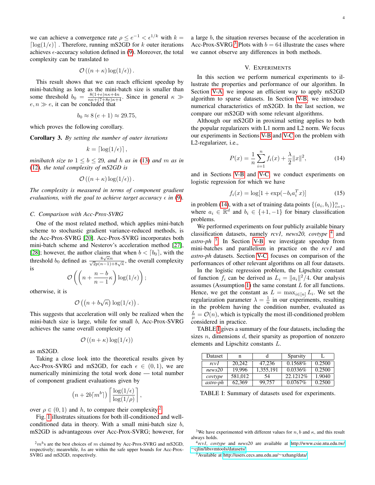we can achieve a convergence rate  $\rho \le e^{-1} < \epsilon^{1/k}$  with  $k =$  $\lceil \log(1/\epsilon) \rceil$ . Therefore, running mS2GD for k outer iterations achieves  $\epsilon$ -accuracy solution defined in (9). Moreover, the total complexity can be translated to

$$
\mathcal{O}\left((n+\kappa)\log(1/\epsilon)\right).
$$

This result shows that we can reach efficient speedup by mini-batching as long as the mini-batch size is smaller than some threshold  $b_0 = \frac{8(1+e)n\kappa+4n}{n\kappa+(7+8e)\kappa+4}$ . Since in general  $\kappa \gg$  $e, n \gg e$ , it can be concluded that

$$
b_0 \approx 8(e+1) \approx 29.75,
$$

which proves the following corollary.

Corollary 3. *By setting the number of outer iterations*

$$
k = \lceil \log(1/\epsilon) \rceil,
$$

*minibatch size to*  $1 \leq b \leq 29$ *, and h as in* (13) *and m as in* (12)*, the total complexity of mS2GD is*

$$
\mathcal{O}\left((n+\kappa)\log(1/\epsilon)\right).
$$

*The complexity is measured in terms of component gradient evaluations, with the goal to achieve target accuracy*  $\epsilon$  *in* (9).

#### *C. Comparison with Acc-Prox-SVRG*

One of the most related method, which applies mini-batch scheme to stochastic gradient variance-reduced methods, is the Acc-Prox-SVRG [20]. Acc-Prox-SVRG incorporates both mini-batch scheme and Nesterov's acceleration method [27], [28]; however, the author claims that when  $b < [b_0]$ , with the threshold  $b_0$  defined as  $\frac{8\sqrt{\kappa}n}{\sqrt{2}p(n-1)+8\sqrt{\kappa}}$ , the overall complexity is

$$
\mathcal{O}\left(\left(n+\frac{n-b}{n-1}\kappa\right)\log(1/\epsilon)\right);
$$

otherwise, it is

$$
\mathcal{O}\left(\left(n+b\sqrt{\kappa}\right)\log(1/\epsilon)\right).
$$

This suggests that acceleration will only be realized when the mini-batch size is large, while for small b, Acc-Prox-SVRG achieves the same overall complexity of

$$
\mathcal{O}\left(\left(n+\kappa\right)\log(1/\epsilon)\right)
$$

as mS2GD.

Taking a close look into the theoretical results given by Acc-Prox-SVRG and mS2GD, for each  $\epsilon \in (0,1)$ , we are numerically minimizing the total work done — total number of component gradient evaluations given by

$$
(n+2b\lceil m^{b}\rceil)\left\lceil \frac{\log(1/\epsilon)}{\log(1/\rho)}\right\rceil,
$$

over  $\rho \in (0, 1)$  and h, to compare their complexity.<sup>2</sup>

Fig. 1 illustrates situations for both ill-conditioned and wellconditioned data in theory. With a small mini-batch size b, mS2GD is advantageous over Acc-Prox-SVRG; however, for a large b, the situation reverses because of the acceleration in Acc-Prox-SVRG.<sup>3</sup> Plots with  $b = 64$  illustrate the cases where we cannot observe any differences in both methods.

### V. EXPERIMENTS

In this section we perform numerical experiments to illustrate the properties and performance of our algorithm. In Section V-A, we impose an efficient way to apply mS2GD algorithm to sparse datasets. In Section V-B, we introduce numerical characteristics of mS2GD. In the last section, we compare our mS2GD with some relevant algorithms.

Although our mS2GD in proximal setting applies to both the popular regularizers with L1 norm and L2 norm. We focus our experiments in Sections V-B and V-C on the problem with L2-regularizer, i.e.,

$$
P(x) = \frac{1}{n} \sum_{i=1}^{n} f_i(x) + \frac{\lambda}{2} ||x||^2,
$$
 (14)

and in Sections V-B and V-C, we conduct experiments on logistic regression for which we have

$$
f_i(x) = \log[1 + \exp(-b_i a_i^T x)]
$$
 (15)

in problem (14), with a set of training data points  $\{(a_i, b_i)\}_{i=1}^n$ , where  $a_i \in \mathbb{R}^d$  and  $b_i \in \{+1, -1\}$  for binary classification problems.

We performed experiments on four publicly available binary classification datasets, namely *rcv1, news20, covtype* 4 and *astro-ph* 5 . In Section V-B, we investigate speedup from mini-batches and parallelism in practice on the *rcv1* and *astro-ph* datasets. Section V-C, focuses on comparison of the performances of other relevant algorithms on all four datasets.

In the logistic regression problem, the Lipschitz constant of function  $f_i$  can be derived as  $L_i = ||a_i||^2/4$ . Our analysis assumes (Assumption 1) the same constant  $L$  for all functions. Hence, we get the constant as  $L = \max_{i \in [n]} L_i$ . We set the regularization parameter  $\lambda = \frac{1}{n}$  in our experiments, resulting in the problem having the condition number, evaluated as  $\frac{L}{\mu} = \mathcal{O}(n)$ , which is typically the most ill-conditioned problem considered in practice.

TABLE I gives a summary of the four datasets, including the sizes  $n$ , dimensions  $d$ , their sparsity as proportion of nonzero elements and Lipschitz constants L.

| Dataset  | n       |           | <b>Sparsity</b> |        |
|----------|---------|-----------|-----------------|--------|
| rcv I    | 20,242  | 47.236    | $0.1568\%$      | 0.2500 |
| news20   | 19.996  | 1,355,191 | 0.0336%         | 0.2500 |
| covtype  | 581,012 | 54        | 22.12.12%       | 1.9040 |
| astro-ph | 62.369  | 99.757    | $0.0767\%$      | 0.2500 |

TABLE I: Summary of datasets used for experiments.

<sup>5</sup>Available at [http://users.cecs.anu.edu.au/](http://users.cecs.anu.edu.au/~xzhang/data/)∼xzhang/data/.

 $2mb$ 's are the best choices of m claimed by Acc-Prox-SVRG and mS2GD, respectively; meanwhile, hs are within the safe upper bounds for Acc-Prox-SVRG and mS2GD, respectively.

<sup>&</sup>lt;sup>3</sup>We have experimented with different values for n, b and  $\kappa$ , and this result always holds.

<sup>4</sup> *rcv1, covtype* and *news20* are available at [http://www.csie.ntu.edu.tw/](http://www.csie.ntu.edu.tw/~cjlin/libsvmtools/datasets/) ∼[cjlin/libsvmtools/datasets/.](http://www.csie.ntu.edu.tw/~cjlin/libsvmtools/datasets/)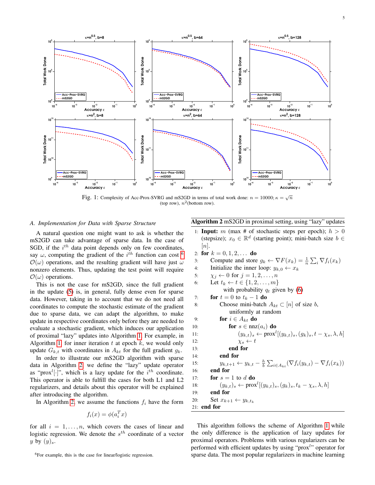

Fig. 1: Complexity of Acc-Prox-SVRG and mS2GD in terms of total work done:  $n = 10000; \kappa = \sqrt{n}$ (top row),  $n^2$ (bottom row).

### *A. Implementation for Data with Sparse Structure*

A natural question one might want to ask is whether the mS2GD can take advantage of sparse data. In the case of SGD, if the  $i^{th}$  data point depends only on few coordinates, say  $\omega$ , computing the gradient of the  $i^{th}$  function can cost  $^6$  $\mathcal{O}(\omega)$  operations, and the resulting gradient will have just  $\omega$ nonzero elements. Thus, updating the test point will require  $\mathcal{O}(\omega)$  operations.

This is not the case for mS2GD, since the full gradient in the update (5) is, in general, fully dense even for sparse data. However, taking in to account that we do not need all coordinates to compute the stochastic estimate of the gradient due to sparse data, we can adapt the algorithm, to make update in respective coordinates only before they are needed to evaluate a stochastic gradient, which induces our application of proximal "lazy" updates into Algorithm 1. For example, in Algorithm 1, for inner iteration  $t$  at epoch  $k$ , we would only update  $G_{k,t}$  with coordinates in  $A_{kt}$  for the full gradient  $g_k$ .

In order to illustrate our mS2GD algorithm with sparse data in Algorithm 2, we define the "lazy" update operator as "prox<sup>*l*</sup>[.]", which is a lazy update for the  $i^{th}$  coordinate. This operator is able to fulfill the cases for both L1 and L2 regularizers, and details about this operator will be explained after introducing the algorithm.

In Algorithm 2, we assume the functions  $f_i$  have the form

$$
f_i(x) = \phi(a_i^T x)
$$

for all  $i = 1, \ldots, n$ , which covers the cases of linear and logistic regression. We denote the  $s^{th}$  coordinate of a vector y by  $(y)_s$ .

<sup>6</sup>For example, this is the case for linear/logistic regression.

# Algorithm 2 mS2GD in proximal setting, using "lazy" updates

- 1: **Input:** m (max # of stochastic steps per epoch);  $h > 0$ (stepsize);  $x_0 \in \mathbb{R}^d$  (starting point); mini-batch size  $b \in$  $[n]$ .
- 2: for  $k = 0, 1, 2, \ldots$  do 3: Compute and store  $g_k \leftarrow \nabla F(x_k) = \frac{1}{n} \sum_i \nabla f_i(x_k)$ 4: Initialize the inner loop:  $y_{k,0} \leftarrow x_k$ 5:  $\chi_j \leftarrow 0$  for  $j = 1, 2, \ldots, n$ 6: Let  $t_k \leftarrow t \in \{1, 2, ..., m\}$ with probability  $q_t$  given by (6) 7: **for**  $t = 0$  to  $t_k - 1$  **do** 8: Choose mini-batch  $A_{kt} \subset [n]$  of size b, . uniformly at random 9: **for**  $i \in A_{kt}$  **do** 10: **for**  $s \in \text{nnz}(a_i)$  **do** 11:  $(y_{k,t})_s \leftarrow \text{prox}^l[(y_{k,t})_s, (g_k)_s, t - \chi_s, \lambda, h]$ 12:  $\chi_s \leftarrow t$ 13: end for 14: end for 15:  $y_{k,t+1} \leftarrow y_{k,t} - \frac{h}{b} \sum_{i \in A_{kt}} (\nabla f_i(y_{k,t}) - \nabla f_i(x_k))$ 16: end for 17: **for**  $s = 1$  to  $d$  **do** 18:  $(y_{k,t})_s \leftarrow \text{prox}^l[(y_{k,t})_s, (g_k)_s, t_k - \chi_s, \lambda, h]$ 19: end for 20: Set  $x_{k+1} \leftarrow y_{k,t_k}$ 21: end for

This algorithm follows the scheme of Algorithm 1 while the only difference is the application of lazy updates for proximal operators. Problems with various regularizers can be performed with efficient updates by using "prox<sup>1</sup>" operator for sparse data. The most popular regularizers in machine learning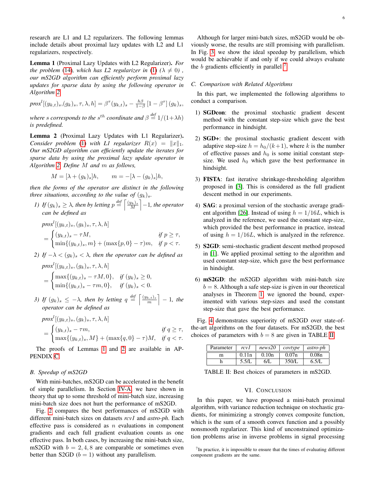research are L1 and L2 regularizers. The following lemmas include details about proximal lazy updates with L2 and L1 regularizers, respectively.

Lemma 1 (Proximal Lazy Updates with L2 Regularizer). *For the problem* (14)*, which has L2 regularizer in* (1)  $(\lambda \neq 0)$ , *our mS2GD algorithm can efficiently perform proximal lazy updates for sparse data by using the following operator in Algorithm 2.*

$$
proxl[(yk,t)s, (gk)s, \tau, \lambda, h] = \beta\tau(yk,t)s - \frac{h\beta}{1-\beta} [1 - \beta\tau](gk)s,
$$

where *s* corresponds to the  $s^{th}$  coordinate and  $\beta \stackrel{\text{def}}{=} 1/(1+\lambda h)$ *is predefined.*

Lemma 2 (Proximal Lazy Updates with L1 Regularizer). *Consider problem* (1) *with L1 regularizer*  $R(x) = ||x||_1$ . *Our mS2GD algorithm can efficiently update the iterates for sparse data by using the proximal lazy update operator in Algorithm 2. Define* M *and* m *as follows,*

$$
M = [\lambda + (g_k)_s]h, \qquad m = -[\lambda - (g_k)_s]h,
$$

*then the forms of the operator are distinct in the following three situations, according to the value of*  $(g_k)_s$ *.* 

*1) If*  $(g_k)_s \geq \lambda$ , then by letting  $p \stackrel{def}{=} \left\lceil \frac{(y_k)_s}{M} \right\rceil - 1$ , the operator *can be defined as*

$$
prox^{l}[(y_{k,t})_{s}, (g_{k})_{s}, \tau, \lambda, h]
$$
  
= 
$$
\begin{cases} (y_{k,t})_{s} - \tau M, & \text{if } p \geq \tau, \\ \min\{(y_{k,t})_{s}, m\} + (\max\{p, 0\} - \tau)m, & \text{if } p < \tau. \end{cases}
$$

*2) If*  $-\lambda < (g_k)_s < \lambda$ , then the operator can be defined as  $prox^l[(y_{k,t})_s, (g_k)_s, \tau, \lambda, h]$ 

$$
= \begin{cases} \max\{(y_{k,t})_s - \tau M, 0\}, & \text{if } (y_k)_s \ge 0, \\ \min\{(y_{k,t})_s - \tau m, 0\}, & \text{if } (y_k)_s < 0. \end{cases}
$$

*3) If*  $(g_k)_s \leq -\lambda$ , then by letting  $q \stackrel{def}{=} \left\lceil \frac{(y_{k,t})_s}{m} \right\rceil - 1$ , the *operator can be defined as*

$$
proxl[(yk,t)s, (gk)s, \tau, \lambda, h]
$$
  
= 
$$
\begin{cases} (yk,t)s - \tau m, & \text{if } q \ge \tau, \\ \max\{(yk,t)s, M\} + (\max\{q, 0\} - \tau)M, & \text{if } q < \tau. \end{cases}
$$

The proofs of Lemmas 1 and 2 are available in AP-PENDIX C.

# *B. Speedup of mS2GD*

With mini-batches, mS2GD can be accelerated in the benefit of simple parallelism. In Section IV-A, we have shown in theory that up to some threshold of mini-batch size, increasing mini-batch size does not hurt the performance of mS2GD.

Fig. 2 compares the best performances of mS2GD with different mini-batch sizes on datasets *rcv1* and *astro-ph*. Each effective pass is considered as  $n$  evaluations in component gradients and each full gradient evaluation counts as one effective pass. In both cases, by increasing the mini-batch size, mS2GD with  $b = 2, 4, 8$  are comparable or sometimes even better than S2GD  $(b = 1)$  without any parallelism.

Although for larger mini-batch sizes, mS2GD would be obviously worse, the results are still promising with parallelism. In Fig. 3, we show the ideal speedup by parallelism, which would be achievable if and only if we could always evaluate the  $b$  gradients efficiently in parallel  $<sup>7</sup>$ .</sup>

# *C. Comparison with Related Algorithms*

In this part, we implemented the following algorithms to conduct a comparison.

- 1) SGDcon: the proximal stochastic gradient descent method with the constant step-size which gave the best performance in hindsight.
- 2) SGD+: the proximal stochastic gradient descent with adaptive step-size  $h = h_0/(k+1)$ , where k is the number of effective passes and  $h_0$  is some initial constant stepsize. We used  $h_0$  which gave the best performance in hindsight.
- 3) FISTA: fast iterative shrinkage-thresholding algorithm proposed in [3]. This is considered as the full gradient descent method in our experiments.
- 4) SAG: a proximal version of the stochastic average gradient algorithm [26]. Instead of using  $h = 1/16L$ , which is analyzed in the reference, we used the constant step-size, which provided the best performance in practice, instead of using  $h = 1/16L$ , which is analyzed in the reference.
- 5) S2GD: semi-stochastic gradient descent method proposed in [1]. We applied proximal setting to the algorithm and used constant step-size, which gave the best performance in hindsight.
- 6) mS2GD: the mS2GD algorithm with mini-batch size  $b = 8$ . Although a safe step-size is given in our theoretical analyses in Theorem 1, we ignored the bound, experimented with various step-sizes and used the constant step-size that gave the best performance.

Fig. 4 demonstrates superiority of mS2GD over state-ofthe-art algorithms on the four datasets. For mS2GD, the best choices of parameters with  $b = 8$  are given in TABLE II.

| Parameter | rcv I | news20       | covtype | astro-ph |
|-----------|-------|--------------|---------|----------|
| m         | 0.11n | 0.10n        | 0.07n   | 0.08n    |
|           | 5.5/L | $6/\text{L}$ | 350/L   | 6.5/L    |

TABLE II: Best choices of parameters in mS2GD.

# VI. CONCLUSION

In this paper, we have proposed a mini-batch proximal algorithm, with variance reduction technique on stochastic gradients, for minimizing a strongly convex composite function, which is the sum of a smooth convex function and a possibly nonsmooth regularizer. This kind of unconstrained optimization problems arise in inverse problems in signal processing

 $7$ In practice, it is impossible to ensure that the times of evaluating different component gradients are the same.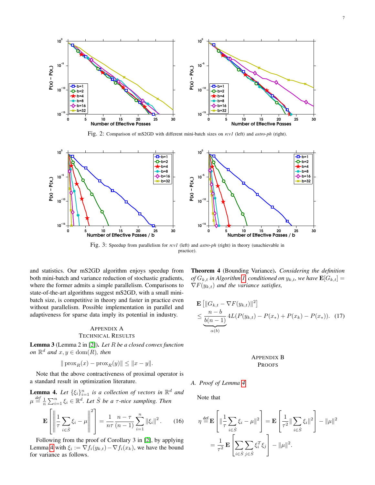

Fig. 2: Comparison of mS2GD with different mini-batch sizes on *rcv1* (left) and *astro-ph* (right).



Fig. 3: Speedup from parallelism for *rcv1* (left) and *astro-ph* (right) in theory (unachievable in practice).

and statistics. Our mS2GD algorithm enjoys speedup from both mini-batch and variance reduction of stochastic gradients, where the former admits a simple parallelism. Comparisons to state-of-the-art algorithms suggest mS2GD, with a small minibatch size, is competitive in theory and faster in practice even without parallelism. Possible implementation in parallel and adaptiveness for sparse data imply its potential in industry.

# APPENDIX A TECHNICAL RESULTS

Lemma 3 (Lemma 2 in [2]). *Let* R *be a closed convex function on*  $\mathbb{R}^d$  *and*  $x, y \in \text{dom}(R)$ *, then* 

$$
||
$$
prox<sub>R</sub> $(x)$  – prox<sub>R</sub> $(y)|| \le ||x - y||.$ 

Note that the above contractiveness of proximal operator is a standard result in optimization literature.

**Lemma 4.** Let 
$$
\{\xi_i\}_{i=1}^n
$$
 is a collection of vectors in  $\mathbb{R}^d$  and  $\mu \stackrel{\text{def}}{=} \frac{1}{n} \sum_{i=1}^n \xi_i \in \mathbb{R}^d$ . Let  $\hat{S}$  be a  $\tau$ -nice sampling. Then

$$
\mathbf{E}\left[\left\|\frac{1}{\tau}\sum_{i\in\hat{S}}\xi_i-\mu\right\|^2\right]=\frac{1}{n\tau}\frac{n-\tau}{(n-1)}\sum_{i=1}^n\|\xi_i\|^2.
$$
 (16)

Following from the proof of Corollary 3 in [2], by applying Lemma 4 with  $\xi_i := \nabla f_i(y_{k,t}) - \nabla f_i(x_k)$ , we have the bound for variance as follows.

Theorem 4 (Bounding Variance). *Considering the definition of*  $G_{k,t}$  *in Algorithm 1, conditioned on*  $y_{k,t}$ *, we have*  $\mathbf{E}[G_{k,t}] =$  $\nabla F(y_{k,t})$  *and the variance satisfies,* 

$$
\mathbf{E} \left[ \|G_{k,t} - \nabla F(y_{k,t})\|^2 \right] \le \frac{n-b}{b(n-1)} 4L(P(y_{k,t}) - P(x_*) + P(x_k) - P(x_*)). \tag{17}
$$

# APPENDIX B PROOFS

*A. Proof of Lemma 4*

Note that

$$
\eta \stackrel{\text{def}}{=} \mathbf{E} \left[ \|\frac{1}{\tau} \sum_{i \in \hat{S}} \xi_i - \mu\|^2 \right] = \mathbf{E} \left[ \frac{1}{\tau^2} \|\sum_{i \in \hat{S}} \xi_i\|^2 \right] - \|\mu\|^2
$$

$$
= \frac{1}{\tau^2} \mathbf{E} \left[ \sum_{i \in \hat{S}} \sum_{j \in \hat{S}} \xi_i^T \xi_j \right] - \|\mu\|^2.
$$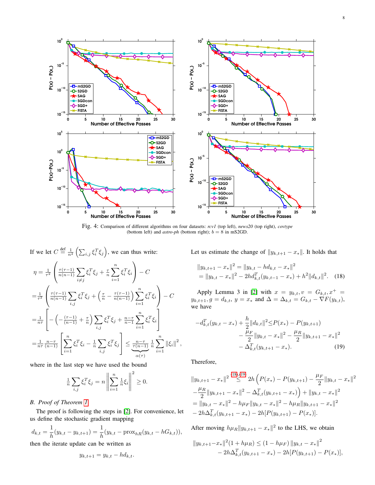

Fig. 4: Comparison of different algorithms on four datasets: *rcv1* (top left), *news20* (top right), *covtype* (bottom left) and  $astro\text{-}ph$  (bottom right);  $b = 8$  in mS2GD.

If we let  $C \stackrel{\text{def}}{=} \frac{1}{n^2} \left( \sum_{i,j} \xi_i^T \xi_j \right)$ , we can thus write:

$$
\eta = \frac{1}{\tau^2} \left( \frac{\tau(\tau-1)}{n(n-1)} \sum_{i \neq j} \xi_i^T \xi_j + \frac{\tau}{n} \sum_{i=1}^n \xi_i^T \xi_i \right) - C
$$
  
\n
$$
= \frac{1}{\tau^2} \left( \frac{\tau(\tau-1)}{n(n-1)} \sum_{i,j} \xi_i^T \xi_j + \left( \frac{\tau}{n} - \frac{\tau(\tau-1)}{n(n-1)} \right) \sum_{i=1}^n \xi_i^T \xi_i \right) - C
$$
  
\n
$$
= \frac{1}{n\tau} \left[ - \left( -\frac{(\tau-1)}{(n-1)} + \frac{\tau}{n} \right) \sum_{i,j} \xi_i^T \xi_j + \frac{n-\tau}{n-1} \sum_{i=1}^n \xi_i^T \xi_i \right]
$$
  
\n
$$
= \frac{1}{n\tau} \frac{n-\tau}{(n-1)} \left[ \sum_{i=1}^n \xi_i^T \xi_i - \frac{1}{n} \sum_{i,j} \xi_i^T \xi_j \right] \le \frac{n-\tau}{\tau(n-1)} \frac{1}{n} \sum_{i=1}^n ||\xi_i||^2,
$$

where in the last step we have used the bound

$$
\frac{1}{n} \sum_{i,j} \xi_i^T \xi_j = n \left\| \sum_{i=1}^n \frac{1}{n} \xi_i \right\|^2 \ge 0.
$$

# *B. Proof of Theorem 1*

The proof is following the steps in [2]. For convenience, let us define the stochastic gradient mapping

$$
d_{k,t} = \frac{1}{h}(y_{k,t} - y_{k,t+1}) = \frac{1}{h}(y_{k,t} - \text{prox}_{hR}(y_{k,t} - hG_{k,t})),
$$

then the iterate update can be written as

$$
y_{k,t+1} = y_{k,t} - h d_{k,t}.
$$

Let us estimate the change of  $||y_{k,t+1} - x_*||$ . It holds that

$$
||y_{k,t+1} - x_*||^2 = ||y_{k,t} - h d_{k,t} - x_*||^2
$$
  
=  $||y_{k,t} - x_*||^2 - 2h d_{k,t}^T (y_{k,t-1} - x_*) + h^2 ||d_{k,t}||^2$ . (18)

Apply Lemma 3 in [2] with  $x = y_{k,t}, v = G_{k,t}, x^+ =$  $y_{k,t+1}, g = d_{k,t}, y = x_* \text{ and } \Delta = \Delta_{k,t} = G_{k,t} - \nabla F(y_{k,t}),$ we have

$$
-d_{k,t}^T(y_{k,t} - x_*) + \frac{h}{2} ||d_{k,t}||^2 \le P(x_*) - P(y_{k,t+1})
$$
  

$$
- \frac{\mu_F}{2} ||y_{k,t} - x_*||^2 - \frac{\mu_R}{2} ||y_{k,t+1} - x_*||^2
$$
  

$$
- \Delta_{k,t}^T(y_{k,t+1} - x_*).
$$
 (19)

Therefore,

$$
||y_{k,t+1} - x_*||^2 \stackrel{(18),(19)}{\leq} 2h \left( P(x_*) - P(y_{k,t+1}) - \frac{\mu_F}{2} ||y_{k,t} - x_*||^2 - \frac{\mu_R}{2} ||y_{k,t+1} - x_*||^2 - \Delta_{k,t}^T (y_{k,t+1} - x_*) \right) + ||y_{k,t} - x_*||^2
$$
  
=  $||y_{k,t} - x_*||^2 - h\mu_F ||y_{k,t} - x_*||^2 - h\mu_R ||y_{k,t+1} - x_*||^2 - 2h\Delta_{k,t}^T (y_{k,t+1} - x_*) - 2h[P(y_{k,t+1}) - P(x_*)].$ 

After moving  $h\mu_R||y_{k,t+1} - x_*||^2$  to the LHS, we obtain

$$
||y_{k,t+1} - x_*||^2 (1 + h\mu_R) \le (1 - h\mu_F) ||y_{k,t} - x_*||^2
$$
  
- 2h $\Delta_{k,t}^T (y_{k,t+1} - x_*) - 2h[P(y_{k,t+1}) - P(x_*)],$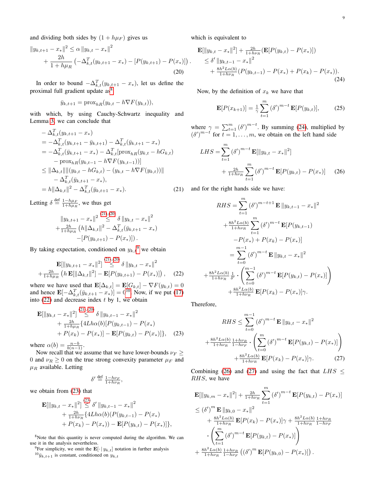and dividing both sides by  $(1 + h\mu_F)$  gives us

$$
||y_{k,t+1} - x_*||^2 \le \alpha ||y_{k,t} - x_*||^2
$$
  
+ 
$$
\frac{2h}{1 + h\mu_R} \left( -\Delta_{k,t}^T (y_{k,t+1} - x_*) - [P(y_{k,t+1}) - P(x_*)] \right)
$$
  
(20)

In order to bound  $-\Delta_{k,t}^T(y_{k,t+1} - x_*)$ , let us define the proximal full gradient update as<sup>8</sup>

$$
\bar{y}_{k,t+1} = \text{prox}_{hR}(y_{k,t} - h\nabla F(y_{k,t})),
$$

with which, by using Cauchy-Schwartz inequality and Lemma 3, we can conclude that

$$
-\Delta_{k,t}^T(y_{k,t+1} - x_*)
$$
  
=  $-\Delta_{k,t}^T(y_{k,t+1} - \bar{y}_{k,t+1}) - \Delta_{k,t}^T(\bar{y}_{k,t+1} - x_*)$   
=  $-\Delta_{k,t}^T(\bar{y}_{k,t+1} - x_*) - \Delta_{k,t}^T[\text{prox}_{hR}(y_{k,t} - hG_{k,t}) - \text{prox}_{hR}(y_{k,t-1} - h\nabla F(y_{k,t-1}))]$   
 $\leq ||\Delta_{k,t}|| ||(y_{k,t} - hG_{k,t}) - (y_{k,t} - h\nabla F(y_{k,t}))|| - \Delta_{k,t}^T(\bar{y}_{k,t+1} - x_*)$ ,  
=  $h||\Delta_{k,t}||^2 - \Delta_{k,t}^T(\bar{y}_{k,t+1} - x_*)$ . (21)

Letting  $\delta \stackrel{\text{def}}{=} \frac{1-h\mu_F}{1+h\mu_R}$ , we thus get

$$
||y_{k,t+1} - x_*||^2 \leq \delta ||y_{k,t} - x_*||^2 + \frac{2h}{1+h\mu_R} (h||\Delta_{k,t}||^2 - \Delta_{k,t}^T(\bar{y}_{k,t+1} - x_*) - [P(y_{k,t+1}) - P(x_*)]).
$$

By taking expectation, conditioned on  $y_{k,t}$ <sup>9</sup> we obtain

$$
\mathbf{E}[\|y_{k,t+1} - x_*\|^2] \stackrel{(21),(20)}{\leq} \delta \|y_{k,t} - x_*\|^2 \n+ \frac{2h}{1+h\mu_R} \left( h \mathbf{E}[\|\Delta_{k,t}\|^2] - \mathbf{E}[P(y_{k,t+1}) - P(x_*)] \right), \quad (22)
$$

where we have used that  $\mathbf{E}[\Delta_{k,t}] = \mathbf{E}[G_{k,t}] - \nabla F(y_{k,t}) = 0$ and hence  $\mathbf{E}[-\Delta_{k,t}^T(\bar{y}_{k,t+1} - x_*)] = 0^{10}$ . Now, if we put (17) into (22) and decrease index  $t$  by 1, we obtain

$$
\mathbf{E}[\|y_{k,t} - x_*\|^2] \stackrel{(21),(20)}{\leq} \delta \|y_{k,t-1} - x_*\|^2 \n+ \frac{2h}{1+h\mu_R} \{4Lh\alpha(b)[P(y_{k,t-1}) - P(x_*) \n+ P(x_k) - P(x_*)] - \mathbf{E}[P(y_{k,t}) - P(x_*)]\}, \quad (23)
$$

where  $\alpha(b) = \frac{n-b}{b(n-1)}$ .

Now recall that we assume that we have lower-bounds  $\nu_F \ge$ 0 and  $\nu_R \ge 0$  on the true strong convexity parameter  $\mu_F$  and  $\mu_R$  available. Letting

$$
\delta' \stackrel{\text{def}}{=} \frac{1 - h\nu_F}{1 + h\nu_R},
$$

we obtain from (23) that

$$
\mathbf{E}[\|y_{k,t} - x_*\|^2] \stackrel{(25)}{\leq} \delta' \|y_{k,t-1} - x_*\|^2 + \frac{2h}{1 + h\nu_R} \{ 4Lh\alpha(b)(P(y_{k,t-1}) - P(x_*) + P(x_k) - P(x_*)) - \mathbf{E}[P(y_{k,t}) - P(x_*)] \},
$$

 $(2)$ 

<sup>8</sup>Note that this quantity is never computed during the algorithm. We can use it in the analysis nevertheless.

<sup>9</sup>For simplicity, we omit the  $\mathbf{E}[\cdot | y_{k,t}]$  notation in further analysis  ${}^{10}\bar{y}_{k,t+1}$  is constant, conditioned on  $y_{k,t}$ 

which is equivalent to

.

$$
\mathbf{E}[\|y_{k,t} - x_*\|^2] + \frac{2h}{1 + h\nu_R} \left( \mathbf{E}[P(y_{k,t}) - P(x_*)] \right) \n\leq \delta' \|y_{k,t-1} - x_*\|^2 \n+ \frac{8h^2 L \alpha(b)}{1 + h\nu_R} (P(y_{k,t-1}) - P(x_*) + P(x_k) - P(x_*)).
$$
\n(24)

Now, by the definition of  $x_k$  we have that

$$
\mathbf{E}[P(x_{k+1})] = \frac{1}{\gamma} \sum_{t=1}^{m} (\delta')^{m-t} \mathbf{E}[P(y_{k,t})], \quad (25)
$$

where  $\gamma = \sum_{t=1}^{m} (\delta')^{m-t}$ . By summing (24), multiplied by  $(\delta')^{m-t}$  for  $t = 1, ..., m$ , we obtain on the left hand side

$$
LHS = \sum_{t=1}^{m} (\delta')^{m-t} \mathbf{E}[\|y_{k,t} - x_*\|^2]
$$
  
+ 
$$
\frac{2h}{1 + h\nu_R} \sum_{t=1}^{m} (\delta')^{m-t} \mathbf{E}[P(y_{k,t}) - P(x_*)]
$$
 (26)

and for the right hands side we have:

$$
RHS = \sum_{t=1}^{m} (\delta')^{m-t+1} \mathbf{E} ||y_{k,t-1} - x_*||^2
$$
  
+ 
$$
\frac{8h^2 L\alpha(b)}{1 + h\nu_R} \sum_{t=1}^{m} (\delta')^{m-t} \mathbf{E}[P(y_{k,t-1}) - P(x_*)]
$$
  
- 
$$
P(x_*) + P(x_k) - P(x_*)
$$
  
= 
$$
\sum_{t=0}^{m-1} (\delta')^{m-t} \mathbf{E} ||y_{k,t} - x_*||^2
$$
  
+ 
$$
\frac{8h^2 L\alpha(b)}{1 + h\nu_R} \frac{1}{\delta'} \cdot \left( \sum_{t=0}^{m-1} (\delta')^{m-t} \mathbf{E}[P(y_{k,t}) - P(x_*)] \right)
$$
  
+ 
$$
\frac{8h^2 L\alpha(b)}{1 + h\nu_R} \mathbf{E}[P(x_k) - P(x_*)] \gamma.
$$

Therefore,

$$
RHS \leq \sum_{t=0}^{m-1} (\delta')^{m-t} \mathbf{E} ||y_{k,t} - x_*||^2
$$
  
+ 
$$
\frac{8h^2 L \alpha(b)}{1 + h\nu_R} \frac{1 + h\nu_R}{1 - h\nu_F} \cdot \left( \sum_{t=0}^m (\delta')^{m-t} \mathbf{E} [P(y_{k,t}) - P(x_*)] \right)
$$
  
+ 
$$
\frac{8h^2 L \alpha(b)}{1 + h\nu_R} \mathbf{E} [P(x_k) - P(x_*)] \gamma.
$$
 (27)

Combining (26) and (27) and using the fact that  $LHS \leq$ RHS, we have

$$
\mathbf{E}[\|y_{k,m} - x_*\|^2] + \frac{2h}{1 + h\nu_R} \sum_{t=1}^m (\delta')^{m-t} \mathbf{E}[P(y_{k,t}) - P(x_*)]
$$
\n
$$
\leq (\delta')^m \mathbf{E} \|y_{k,0} - x_*\|^2
$$
\n
$$
+ \frac{8h^2 L \alpha(b)}{1 + h\nu_R} \mathbf{E}[P(x_k) - P(x_*)] \gamma + \frac{8h^2 L \alpha(b)}{1 + h\nu_R} \frac{1 + h\nu_R}{1 - h\nu_F}
$$
\n
$$
\cdot \left( \sum_{t=1}^m (\delta')^{m-t} \mathbf{E}[P(y_{k,t}) - P(x_*)] \right)
$$
\n
$$
+ \frac{8h^2 L \alpha(b)}{1 + h\nu_R} \frac{1 + h\nu_R}{1 - h\nu_F} ((\delta')^m \mathbf{E}[P(y_{k,0}) - P(x_*)]) .
$$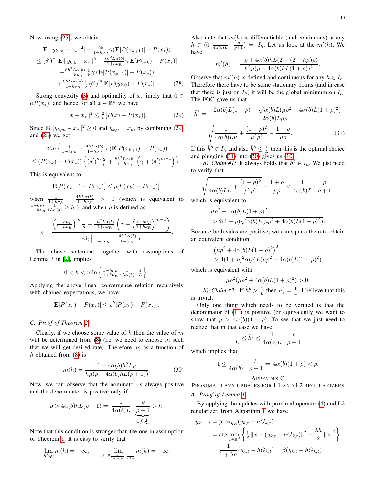Now, using (25), we obtain

$$
\mathbf{E}[\|y_{k,m} - x_*\|^2] + \frac{2h}{1 + h\nu_R} \gamma(\mathbf{E}[P(x_{k+1})] - P(x_*))
$$
  
\n
$$
\leq (\delta')^m \mathbf{E} \|y_{k,0} - x_*\|^2 + \frac{8h^2 L \alpha(b)}{1 + h\nu_R} \gamma \mathbf{E}[P(x_k) - P(x_*)]
$$
  
\n
$$
+ \frac{8h^2 L \alpha(b)}{1 + h\nu_R} \frac{1}{\delta'} \gamma(\mathbf{E}[P(x_{k+1})] - P(x_*))
$$
  
\n
$$
+ \frac{8h^2 L \alpha(b)}{1 + h\nu_R} \frac{1}{\delta} (\delta')^m \mathbf{E}[P(y_{k,0}) - P(x_*)].
$$
 (28)

Strong convexity (3) and optimality of  $x_*$  imply that  $0 \in$  $\partial P(x_*)$ , and hence for all  $x \in \mathbb{R}^d$  we have

$$
||x - x_*||^2 \le \frac{2}{\mu} [P(x) - P(x_*)]. \tag{29}
$$

Since  $\mathbf{E} \| y_{k,m} - x_* \|^2 \ge 0$  and  $y_{k,0} = x_k$ , by combining (29) and (28) we get

$$
2\gamma h \left\{ \frac{1}{1+h\nu_R} - \frac{4hL\alpha(b)}{1-h\nu_F} \right\} (\mathbf{E}[P(x_{k+1})] - P(x_*))
$$
  

$$
\leq (P(x_k) - P(x_*)) \left\{ (\delta')^m \frac{2}{\mu} + \frac{8h^2L\alpha(b)}{1+h\nu_R} \left( \gamma + (\delta')^{m-1} \right) \right\}.
$$

This is equivalent to

$$
\mathbf{E}[P(x_{k+1}) - P(x_{*})] \le \rho [P(x_k) - P(x_{*})],
$$

when  $\frac{1}{1+h\nu_R} - \frac{4hL\alpha(b)}{1-h\nu_F}$  $\frac{ln L \alpha(b)}{1-h \nu_F}$  > 0 (which is equivalent to  $\frac{1-h\nu_F}{1+h\nu_R} \frac{1}{4L\alpha(b)} \geq h$ ), and when  $\rho$  is defined as

$$
\rho = \frac{\left(\frac{1 - h\nu_F}{1 + h\nu_R}\right)^m \frac{1}{\mu} + \frac{4h^2 L \alpha(b)}{1 + h\nu_R} \left(\gamma + \left(\frac{1 - h\nu_F}{1 + h\nu_R}\right)^{m-1}\right)}{\gamma h \left\{\frac{1}{1 + h\nu_R} - \frac{4h L \alpha(b)}{1 - h\nu_F}\right\}}.
$$

The above statement, together with assumptions of Lemma 3 in [2], implies

$$
0 < h < \min\left\{\frac{1 - h\nu_F}{1 + h\nu_R} \frac{1}{4L\alpha(b)}, \frac{1}{L}\right\}.
$$

Applying the above linear convergence relation recursively with chained expectations, we have

$$
\mathbf{E}[P(x_k) - P(x_*)] \le \rho^k [P(x_0) - P(x_*)].
$$

### *C. Proof of Theorem 2*

Clearly, if we choose some value of h then the value of  $m$ will be determined from  $(8)$  (i.e. we need to choose m such that we will get desired rate). Therefore,  $m$  as a function of h obtained from (8) is

$$
m(h) = \frac{1 + 4\alpha(b)h^2 L\mu}{h\mu(\rho - 4\alpha(b)hL(\rho + 1))}.
$$
 (30)

Now, we can observe that the nominator is always positive and the denominator is positive only if

$$
\rho > 4\alpha(b)hL(\rho + 1) \Rightarrow \frac{1}{4\alpha(b)L} \cdot \underbrace{\frac{\rho}{\rho + 1}}_{\in [0, \frac{1}{2}]} > h.
$$

Note that this condition is stronger than the one in assumption of Theorem 1. It is easy to verify that

$$
\lim_{h \searrow 0} m(h) = +\infty, \qquad \lim_{h \nearrow \frac{1}{4\alpha(b)L} \cdot \frac{\rho}{\rho+1}} m(h) = +\infty.
$$

Also note that  $m(h)$  is differentiable (and continuous) at any  $h \in (0, \frac{1}{4\alpha(b)L} \cdot \frac{\rho}{\rho+1}) =: I_h$ . Let us look at the  $m'(h)$ . We have

$$
m'(h) = \frac{-\rho + 4\alpha(b)hL(2 + (2 + h\mu)\rho)}{h^2\mu(\rho - 4\alpha(b)hL(1 + \rho))^2}.
$$

Observe that  $m'(h)$  is defined and continuous for any  $h \in I_h$ . Therefore there have to be some stationary points (and in case that there is just on  $I_h$ ) it will be the global minimum on  $I_h$ . The FOC gave us that

$$
\tilde{h}^{b} = \frac{-2\alpha(b)L(1+\rho) + \sqrt{\alpha(b)L(\mu\rho^{2} + 4\alpha(b)L(1+\rho)^{2})}}{2\alpha(b)L\mu\rho}
$$

$$
= \sqrt{\frac{1}{4\alpha(b)L\mu} + \frac{(1+\rho)^{2}}{\mu^{2}\rho^{2}} - \frac{1+\rho}{\mu\rho}}.
$$
(31)

If this  $\tilde{h}^b \in I_h$  and also  $\tilde{h}^b \leq \frac{1}{L}$  then this is the optimal choice and plugging  $(31)$  into  $(30)$  gives us  $(10)$ .

*a) Claim #1:* It always holds that  $\tilde{h}^b \in I_h$ . We just need to verify that

$$
\sqrt{\frac{1}{4\alpha(b)L\mu} + \frac{(1+\rho)^2}{\mu^2\rho^2}} - \frac{1+\rho}{\mu\rho} < \frac{1}{4\alpha(b)L} \cdot \frac{\rho}{\rho+1},
$$
\nwhich is equivalent to

 $\mu \rho^2 + 4\alpha(b)L(1+\rho)^2$ 

$$
> 2(1+\rho)\sqrt{\alpha(b)L(\mu\rho^2+4\alpha(b)L(1+\rho)^2)}.
$$

Because both sides are positive, we can square them to obtain an equivalent condition

$$
(\mu \rho^2 + 4\alpha(b)L(1+\rho)^2)^2
$$
  
> 4(1+\rho)^2 \alpha(b)L(\mu \rho^2 + 4\alpha(b)L(1+\rho)^2),

which is equivalent with

$$
\mu \rho^{2} (\mu \rho^{2} + 4\alpha(b)L(1+\rho)^{2}) > 0.
$$

b) Claim #2: If  $\tilde{h}^b > \frac{1}{L}$  then  $h^b_* = \frac{1}{L}$ . I believe that this is trivial.

Only one thing which needs to be verified is that the denominator of (11) is positive (or equivalently we want to show that  $\rho > 4\alpha(b)(1+\rho)$ . To see that we just need to realize that in that case we have

$$
\frac{1}{L} \leq \tilde{h}^b \leq \frac{1}{4\alpha(b)L} \cdot \frac{\rho}{\rho+1}
$$

which implies that

$$
1 \le \frac{1}{4\alpha(b)} \cdot \frac{\rho}{\rho + 1} \Rightarrow 4\alpha(b)(1 + \rho) < \rho.
$$

# APPENDIX C

PROXIMAL LAZY UPDATES FOR L1 AND L2 REGULARIZERS

# *A. Proof of Lemma 1*

By applying the updates with proximal operator (4) and L2 regularizer, from Algorithm 1 we have

$$
y_{k+1,t} = \text{prox}_{hR}(y_{k,t} - hG_{k,t})
$$
  
= 
$$
\arg \min_{x \in \mathbb{R}^d} \left\{ \frac{1}{2} ||x - (y_{k,t} - hG_{k,t})||^2 + \frac{\lambda h}{2} ||x||^2 \right\}
$$
  
= 
$$
\frac{1}{1 + \lambda h}(y_{k,t} - hG_{k,t}) = \beta(y_{k,t} - hG_{k,t}),
$$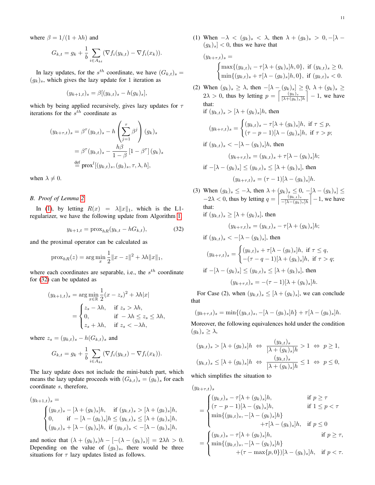where  $\beta = 1/(1 + \lambda h)$  and

$$
G_{k,t} = g_k + \frac{1}{b} \sum_{i \in A_{kt}} (\nabla f_i(y_{k,t}) - \nabla f_i(x_k)).
$$

In lazy updates, for the  $s^{th}$  coordinate, we have  $(G_{k,t})_s =$  $(g_k)_s$ , which gives the lazy update for 1 iteration as

$$
(y_{k+1,t})_s = \beta[(y_{k,t})_s - h(g_k)_s],
$$

which by being applied recursively, gives lazy updates for  $\tau$ iterations for the  $s^{th}$  coordinate as

$$
(y_{k+\tau,t})_s = \beta^{\tau}(y_{k,t})_s - h\left(\sum_{j=1}^{\tau} \beta^j\right)(g_k)_s
$$

$$
= \beta^{\tau}(y_{k,t})_s - \frac{h\beta}{1-\beta} [1-\beta^{\tau}](g_k)_s
$$

$$
\stackrel{\text{def}}{=} \text{prox}^l[(y_{k,t})_s, (g_k)_s, \tau, \lambda, h],
$$

when  $\lambda \neq 0$ .

#### *B. Proof of Lemma 2*

In (1), by letting  $R(x) = \lambda ||x||_1$ , which is the L1regularizer, we have the following update from Algorithm 1,

$$
y_{k+1,t} = \text{prox}_{hR}(y_{k,t} - hG_{k,t}),
$$
 (32)

and the proximal operator can be calculated as

$$
\text{prox}_{hR}(z) = \arg\min_{x} \frac{1}{2} ||x - z||^2 + \lambda h ||x||_1,
$$

where each coordinates are separable, i.e., the  $s^{th}$  coordinate for (32) can be updated as

$$
(y_{k+1,t})_s = \arg\min_{x \in \mathbb{R}} \frac{1}{2}(x - z_s)^2 + \lambda h|x|
$$

$$
= \begin{cases} z_s - \lambda h, & \text{if } z_s > \lambda h, \\ 0, & \text{if } -\lambda h \le z_s \le \lambda h, \\ z_s + \lambda h, & \text{if } z_s < -\lambda h, \end{cases}
$$

where  $z_s = (y_{k,t})_s - h(G_{k,t})_s$  and

$$
G_{k,t} = g_k + \frac{1}{b} \sum_{i \in A_{kt}} (\nabla f_i(y_{k,t}) - \nabla f_i(x_k)).
$$

The lazy update does not include the mini-batch part, which means the lazy update proceeds with  $(G_{k,t})_s = (g_k)_s$  for each coordinate s, therefore,

$$
(y_{k+1,t})_s =
$$
  
\n
$$
\begin{cases}\n(y_{k,t})_s - [\lambda + (g_k)_s]h, & \text{if } (y_{k,t})_s > [\lambda + (g_k)_s]h, \\
0, & \text{if } -[\lambda - (g_k)_s]h \le (y_{k,t})_s \le [\lambda + (g_k)_s]h, \\
(y_{k,t})_s + [\lambda - (g_k)_s]h, & \text{if } (y_{k,t})_s < -[\lambda - (g_k)_s]h,\n\end{cases}
$$

and notice that  $(\lambda + (g_k)_s)h - [-(\lambda - (g_k)_s)] = 2\lambda h > 0$ . Depending on the value of  $(g_k)_s$ , there would be three situations for  $\tau$  lazy updates listed as follows.

$$
(y_{k+\tau,t})_s = \begin{cases} \max\{(y_{k,t})_i - \tau[\lambda + (g_k)_s]h, 0\}, & \text{if } (y_{k,t})_s \ge 0, \\ \min\{(y_{k,t})_s + \tau[\lambda - (g_k)_s]h, 0\}, & \text{if } (y_{k,t})_s < 0. \end{cases}
$$

(2) When  $(g_k)_s \geq \lambda$ , then  $-[\lambda - (g_k)_s] \geq 0$ ,  $\lambda + (g_k)_s \geq 0$  $2\lambda > 0$ , thus by letting  $p = \left[\frac{(y_k)_s}{\lambda + (q_k)}\right]$  $\frac{(y_k)_s}{[\lambda+(g_k)_s]h}$  – 1, we have that:

if  $(y_{k,t})_s > [\lambda + (g_k)_s]h$ , then

$$
(y_{k+\tau,t})_s = \begin{cases} (y_{k,t})_s - \tau[\lambda + (g_k)_s]h, & \text{if } \tau \le p, \\ (\tau - p - 1)[\lambda - (g_k)_s]h, & \text{if } \tau > p; \end{cases}
$$

if 
$$
(y_{k,t})_s < -[\lambda - (g_k)_s]h
$$
, then  

$$
(y_{k+\tau,t})_s = (y_{k,t})_s + \tau[\lambda - (g_k)_s]h;
$$

if 
$$
-[\lambda - (g_k)_s] \le (y_{k,t})_s \le [\lambda + (g_k)_s]
$$
, then  

$$
(y_{k+\tau,t})_s = (\tau - 1)[\lambda - (g_k)_s]h.
$$

(3) When  $(g_k)_s \leq -\lambda$ , then  $\lambda + (g_k)_s \leq 0$ ,  $-[ \lambda - (g_k)_s ] \leq$  $-2\lambda < 0$ , thus by letting  $q = \left[\frac{(y_{k,t})_s}{\sqrt{(\lambda - (a))}}\right]$  $\frac{(y_{k,t})_s}{-\left[\lambda-(g_k)_s\right]h}$  – 1, we have that:<br>if  $(u$  $i \in \{x_1, x_2, \ldots, x_n\}$ 

$$
1 (y_{k,t})_s \geq [\lambda + (g_k)_s], \text{ then}
$$

$$
(y_{k+\tau,t})_s = (y_{k,t})_s - \tau[\lambda + (g_k)_s]h;
$$

if 
$$
(y_{k,t})_s < -[\lambda - (g_k)_s]
$$
, then

$$
(y_{k+\tau,t})_s = \begin{cases} (y_{k,t})_s + \tau[\lambda - (g_k)_s]h, \text{ if } \tau \le q, \\ -(\tau - q - 1)[\lambda + (g_k)_s]h, \text{ if } \tau > q; \end{cases}
$$
  
if  $[-[\lambda - (g_k)_s] \le (y_{k,t})_s \le [\lambda + (g_k)_s],$  then  

$$
(y_{k+\tau,t})_s = -(\tau - 1)[\lambda + (g_k)_s]h.
$$

For Case (2), when  $(y_{k,t})_s \leq [\lambda + (g_k)_s]$ , we can conclude that

$$
(y_{k+\tau,t})_s = \min\{(y_{k,t})_s, -[\lambda - (g_k)_s]h\} + \tau[\lambda - (g_k)_s]h.
$$

Moreover, the following equivalences hold under the condition  $(q_k)_s \geq \lambda$ ,

$$
(y_{k,t})_s > [\lambda + (g_k)_s]h \Leftrightarrow \frac{(y_{k,t})_s}{[\lambda + (g_k)_s]h} > 1 \Leftrightarrow p \ge 1,
$$
  

$$
(y_{k,t})_s \le [\lambda + (g_k)_s]h \Leftrightarrow \frac{(y_{k,t})_s}{[\lambda + (g_k)_s]h} \le 1 \Leftrightarrow p \le 0,
$$

which simplifies the situation to

$$
(y_{k+\tau,t})_s
$$
  
\n
$$
= \begin{cases}\n(y_{k,t})_s - \tau[\lambda + (g_k)_s]h, & \text{if } p \ge \tau \\
(\tau - p - 1)[\lambda - (g_k)_s]h, & \text{if } 1 \le p < \tau \\
\min\{(y_{k,t})_s, -[\lambda - (g_k)_s]h\} + \tau[\lambda - (g_k)_s]h, & \text{if } p \le 0\n\end{cases}
$$
  
\n
$$
= \begin{cases}\n(y_{k,t})_s - \tau[\lambda + (g_k)_s]h, & \text{if } p \ge \tau, \\
\min\{(y_{k,t})_s, -[\lambda - (g_k)_s]h\} + (\tau - \max\{p, 0\})[\lambda - (g_k)_s]h, & \text{if } p < \tau.\n\end{cases}
$$